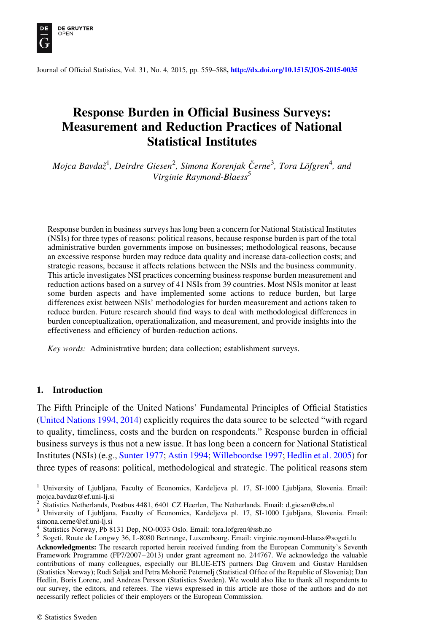

Journal of Official Statistics, Vol. 31, No. 4, 2015, pp. 559–588, <http://dx.doi.org/10.1515/JOS-2015-0035>

# Response Burden in Official Business Surveys: Measurement and Reduction Practices of National Statistical Institutes

Mojca Bavdaž<sup>1</sup>, Deirdre Giesen<sup>2</sup>, Simona Korenjak Černe<sup>3</sup>, Tora Löfgren<sup>4</sup>, and Virginie Raymond-Blaess<sup>5</sup>

Response burden in business surveys has long been a concern for National Statistical Institutes (NSIs) for three types of reasons: political reasons, because response burden is part of the total administrative burden governments impose on businesses; methodological reasons, because an excessive response burden may reduce data quality and increase data-collection costs; and strategic reasons, because it affects relations between the NSIs and the business community. This article investigates NSI practices concerning business response burden measurement and reduction actions based on a survey of 41 NSIs from 39 countries. Most NSIs monitor at least some burden aspects and have implemented some actions to reduce burden, but large differences exist between NSIs' methodologies for burden measurement and actions taken to reduce burden. Future research should find ways to deal with methodological differences in burden conceptualization, operationalization, and measurement, and provide insights into the effectiveness and efficiency of burden-reduction actions.

Key words: Administrative burden; data collection; establishment surveys.

## 1. Introduction

The Fifth Principle of the United Nations' Fundamental Principles of Official Statistics [\(United Nations 1994, 2014](#page-29-0)) explicitly requires the data source to be selected "with regard to quality, timeliness, costs and the burden on respondents." Response burden in official business surveys is thus not a new issue. It has long been a concern for National Statistical Institutes (NSIs) (e.g., [Sunter 1977](#page-29-0); [Astin 1994;](#page-25-0) [Willeboordse 1997](#page-29-0); [Hedlin et al. 2005](#page-27-0)) for three types of reasons: political, methodological and strategic. The political reasons stem

<sup>&</sup>lt;sup>1</sup> University of Ljubljana, Faculty of Economics, Kardeljeva pl. 17, SI-1000 Ljubljana, Slovenia. Email: mojca.bavdaz@ef.uni-lj.si<br>
<sup>2</sup> Statistics Netherlands. Postbus 4481. 6401 CZ Heerlen. The Netherlands. Email: d.giesen@cbs.nl

<sup>&</sup>lt;sup>3</sup> University of Ljubljana, Faculty of Economics, Kardeljeva pl. 17, SI-1000 Ljubljana, Slovenia. Email: simona.cerne@ef.uni-lj.si<br><sup>4</sup> Statistics Norway, Pb 8131 Dep, NO-0033 Oslo. Email: tora.lofgren@ssb.no

<sup>&</sup>lt;sup>5</sup> Sogeti, Route de Longwy 36, L-8080 Bertrange, Luxembourg. Email: virginie.raymond-blaess@sogeti.lu

Acknowledgments: The research reported herein received funding from the European Community's Seventh Framework Programme (FP7/2007–2013) under grant agreement no. 244767. We acknowledge the valuable contributions of many colleagues, especially our BLUE-ETS partners Dag Gravem and Gustav Haraldsen (Statistics Norway); Rudi Seljak and Petra Mohorič Peternelj (Statistical Office of the Republic of Slovenia); Dan Hedlin, Boris Lorenc, and Andreas Persson (Statistics Sweden). We would also like to thank all respondents to our survey, the editors, and referees. The views expressed in this article are those of the authors and do not necessarily reflect policies of their employers or the European Commission.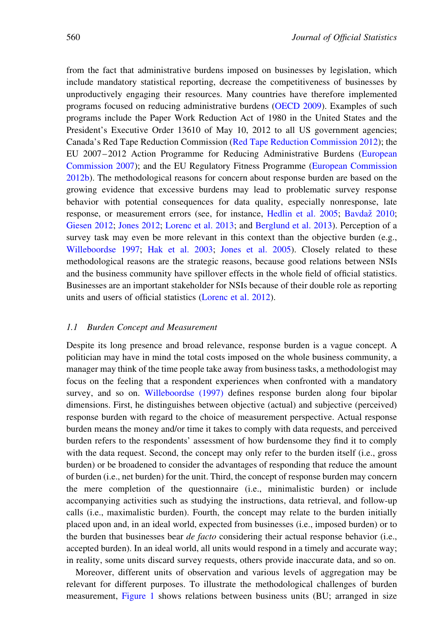from the fact that administrative burdens imposed on businesses by legislation, which include mandatory statistical reporting, decrease the competitiveness of businesses by unproductively engaging their resources. Many countries have therefore implemented programs focused on reducing administrative burdens [\(OECD 2009\)](#page-28-0). Examples of such programs include the Paper Work Reduction Act of 1980 in the United States and the President's Executive Order 13610 of May 10, 2012 to all US government agencies; Canada's Red Tape Reduction Commission [\(Red Tape Reduction Commission 2012\)](#page-28-0); the EU 2007–2012 Action Programme for Reducing Administrative Burdens [\(European](#page-26-0) [Commission 2007\)](#page-26-0); and the EU Regulatory Fitness Programme [\(European Commission](#page-26-0) [2012b\)](#page-26-0). The methodological reasons for concern about response burden are based on the growing evidence that excessive burdens may lead to problematic survey response behavior with potential consequences for data quality, especially nonresponse, late response, or measurement errors (see, for instance, [Hedlin et al. 2005;](#page-27-0) Bavdaž 2010; [Giesen 2012;](#page-27-0) [Jones 2012;](#page-27-0) [Lorenc et al. 2013;](#page-28-0) and [Berglund et al. 2013](#page-25-0)). Perception of a survey task may even be more relevant in this context than the objective burden (e.g., [Willeboordse 1997;](#page-29-0) [Hak et al. 2003;](#page-27-0) [Jones et al. 2005\)](#page-27-0). Closely related to these methodological reasons are the strategic reasons, because good relations between NSIs and the business community have spillover effects in the whole field of official statistics. Businesses are an important stakeholder for NSIs because of their double role as reporting units and users of official statistics ([Lorenc et al. 2012](#page-28-0)).

## 1.1 Burden Concept and Measurement

Despite its long presence and broad relevance, response burden is a vague concept. A politician may have in mind the total costs imposed on the whole business community, a manager may think of the time people take away from business tasks, a methodologist may focus on the feeling that a respondent experiences when confronted with a mandatory survey, and so on. [Willeboordse \(1997\)](#page-29-0) defines response burden along four bipolar dimensions. First, he distinguishes between objective (actual) and subjective (perceived) response burden with regard to the choice of measurement perspective. Actual response burden means the money and/or time it takes to comply with data requests, and perceived burden refers to the respondents' assessment of how burdensome they find it to comply with the data request. Second, the concept may only refer to the burden itself (i.e., gross burden) or be broadened to consider the advantages of responding that reduce the amount of burden (i.e., net burden) for the unit. Third, the concept of response burden may concern the mere completion of the questionnaire (i.e., minimalistic burden) or include accompanying activities such as studying the instructions, data retrieval, and follow-up calls (i.e., maximalistic burden). Fourth, the concept may relate to the burden initially placed upon and, in an ideal world, expected from businesses (i.e., imposed burden) or to the burden that businesses bear de facto considering their actual response behavior (i.e., accepted burden). In an ideal world, all units would respond in a timely and accurate way; in reality, some units discard survey requests, others provide inaccurate data, and so on.

Moreover, different units of observation and various levels of aggregation may be relevant for different purposes. To illustrate the methodological challenges of burden measurement, [Figure 1](#page-2-0) shows relations between business units (BU; arranged in size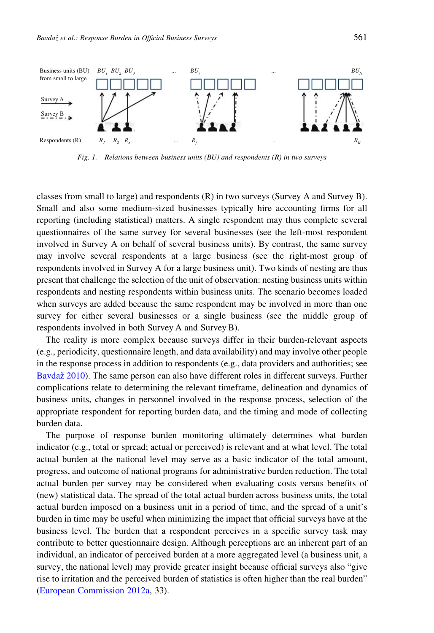<span id="page-2-0"></span>

Fig. 1. Relations between business units  $(BU)$  and respondents  $(R)$  in two surveys

classes from small to large) and respondents (R) in two surveys (Survey A and Survey B). Small and also some medium-sized businesses typically hire accounting firms for all reporting (including statistical) matters. A single respondent may thus complete several questionnaires of the same survey for several businesses (see the left-most respondent involved in Survey A on behalf of several business units). By contrast, the same survey may involve several respondents at a large business (see the right-most group of respondents involved in Survey A for a large business unit). Two kinds of nesting are thus present that challenge the selection of the unit of observation: nesting business units within respondents and nesting respondents within business units. The scenario becomes loaded when surveys are added because the same respondent may be involved in more than one survey for either several businesses or a single business (see the middle group of respondents involved in both Survey A and Survey B).

The reality is more complex because surveys differ in their burden-relevant aspects (e.g., periodicity, questionnaire length, and data availability) and may involve other people in the response process in addition to respondents (e.g., data providers and authorities; see Bavdaž 2010). The same person can also have different roles in different surveys. Further complications relate to determining the relevant timeframe, delineation and dynamics of business units, changes in personnel involved in the response process, selection of the appropriate respondent for reporting burden data, and the timing and mode of collecting burden data.

The purpose of response burden monitoring ultimately determines what burden indicator (e.g., total or spread; actual or perceived) is relevant and at what level. The total actual burden at the national level may serve as a basic indicator of the total amount, progress, and outcome of national programs for administrative burden reduction. The total actual burden per survey may be considered when evaluating costs versus benefits of (new) statistical data. The spread of the total actual burden across business units, the total actual burden imposed on a business unit in a period of time, and the spread of a unit's burden in time may be useful when minimizing the impact that official surveys have at the business level. The burden that a respondent perceives in a specific survey task may contribute to better questionnaire design. Although perceptions are an inherent part of an individual, an indicator of perceived burden at a more aggregated level (a business unit, a survey, the national level) may provide greater insight because official surveys also "give rise to irritation and the perceived burden of statistics is often higher than the real burden" [\(European Commission 2012a](#page-26-0), 33).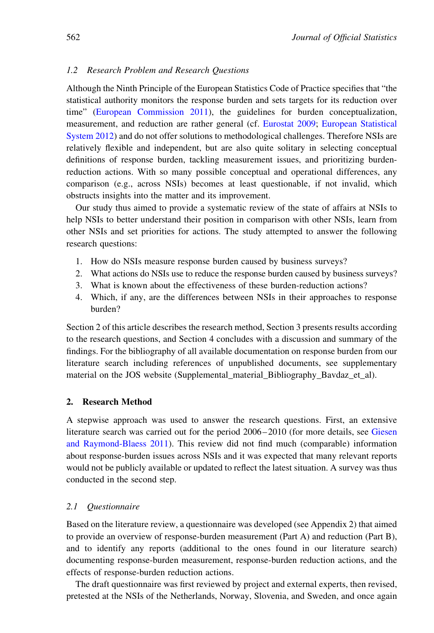### 1.2 Research Problem and Research Questions

Although the Ninth Principle of the European Statistics Code of Practice specifies that "the statistical authority monitors the response burden and sets targets for its reduction over time" [\(European Commission 2011](#page-26-0)), the guidelines for burden conceptualization, measurement, and reduction are rather general (cf. [Eurostat 2009](#page-26-0); [European Statistical](#page-26-0) [System 2012\)](#page-26-0) and do not offer solutions to methodological challenges. Therefore NSIs are relatively flexible and independent, but are also quite solitary in selecting conceptual definitions of response burden, tackling measurement issues, and prioritizing burdenreduction actions. With so many possible conceptual and operational differences, any comparison (e.g., across NSIs) becomes at least questionable, if not invalid, which obstructs insights into the matter and its improvement.

Our study thus aimed to provide a systematic review of the state of affairs at NSIs to help NSIs to better understand their position in comparison with other NSIs, learn from other NSIs and set priorities for actions. The study attempted to answer the following research questions:

- 1. How do NSIs measure response burden caused by business surveys?
- 2. What actions do NSIs use to reduce the response burden caused by business surveys?
- 3. What is known about the effectiveness of these burden-reduction actions?
- 4. Which, if any, are the differences between NSIs in their approaches to response burden?

Section 2 of this article describes the research method, Section 3 presents results according to the research questions, and Section 4 concludes with a discussion and summary of the findings. For the bibliography of all available documentation on response burden from our literature search including references of unpublished documents, see supplementary material on the JOS website (Supplemental material Bibliography Bavdaz et al).

### 2. Research Method

A stepwise approach was used to answer the research questions. First, an extensive literature search was carried out for the period 2006–2010 (for more details, see [Giesen](#page-27-0) [and Raymond-Blaess 2011\)](#page-27-0). This review did not find much (comparable) information about response-burden issues across NSIs and it was expected that many relevant reports would not be publicly available or updated to reflect the latest situation. A survey was thus conducted in the second step.

### 2.1 Questionnaire

Based on the literature review, a questionnaire was developed (see Appendix 2) that aimed to provide an overview of response-burden measurement (Part A) and reduction (Part B), and to identify any reports (additional to the ones found in our literature search) documenting response-burden measurement, response-burden reduction actions, and the effects of response-burden reduction actions.

The draft questionnaire was first reviewed by project and external experts, then revised, pretested at the NSIs of the Netherlands, Norway, Slovenia, and Sweden, and once again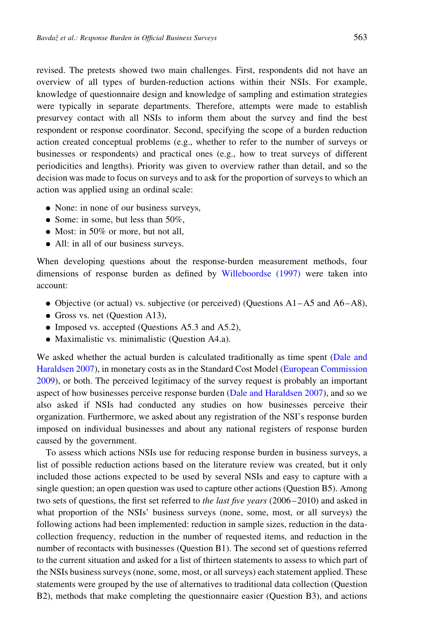revised. The pretests showed two main challenges. First, respondents did not have an overview of all types of burden-reduction actions within their NSIs. For example, knowledge of questionnaire design and knowledge of sampling and estimation strategies were typically in separate departments. Therefore, attempts were made to establish presurvey contact with all NSIs to inform them about the survey and find the best respondent or response coordinator. Second, specifying the scope of a burden reduction action created conceptual problems (e.g., whether to refer to the number of surveys or businesses or respondents) and practical ones (e.g., how to treat surveys of different periodicities and lengths). Priority was given to overview rather than detail, and so the decision was made to focus on surveys and to ask for the proportion of surveys to which an action was applied using an ordinal scale:

- . None: in none of our business surveys,
- Some: in some, but less than  $50\%$ ,
- Most: in 50% or more, but not all,
- . All: in all of our business surveys.

When developing questions about the response-burden measurement methods, four dimensions of response burden as defined by [Willeboordse \(1997\)](#page-29-0) were taken into account:

- . Objective (or actual) vs. subjective (or perceived) (Questions A1–A5 and A6–A8),
- . Gross vs. net (Question A13),
- Imposed vs. accepted (Questions A5.3 and A5.2),
- . Maximalistic vs. minimalistic (Question A4.a).

We asked whether the actual burden is calculated traditionally as time spent [\(Dale and](#page-25-0) [Haraldsen 2007](#page-25-0)), in monetary costs as in the Standard Cost Model [\(European Commission](#page-26-0) [2009\)](#page-26-0), or both. The perceived legitimacy of the survey request is probably an important aspect of how businesses perceive response burden [\(Dale and Haraldsen 2007](#page-25-0)), and so we also asked if NSIs had conducted any studies on how businesses perceive their organization. Furthermore, we asked about any registration of the NSI's response burden imposed on individual businesses and about any national registers of response burden caused by the government.

To assess which actions NSIs use for reducing response burden in business surveys, a list of possible reduction actions based on the literature review was created, but it only included those actions expected to be used by several NSIs and easy to capture with a single question; an open question was used to capture other actions (Question B5). Among two sets of questions, the first set referred to the last five years (2006–2010) and asked in what proportion of the NSIs' business surveys (none, some, most, or all surveys) the following actions had been implemented: reduction in sample sizes, reduction in the datacollection frequency, reduction in the number of requested items, and reduction in the number of recontacts with businesses (Question B1). The second set of questions referred to the current situation and asked for a list of thirteen statements to assess to which part of the NSIs business surveys (none, some, most, or all surveys) each statement applied. These statements were grouped by the use of alternatives to traditional data collection (Question B2), methods that make completing the questionnaire easier (Question B3), and actions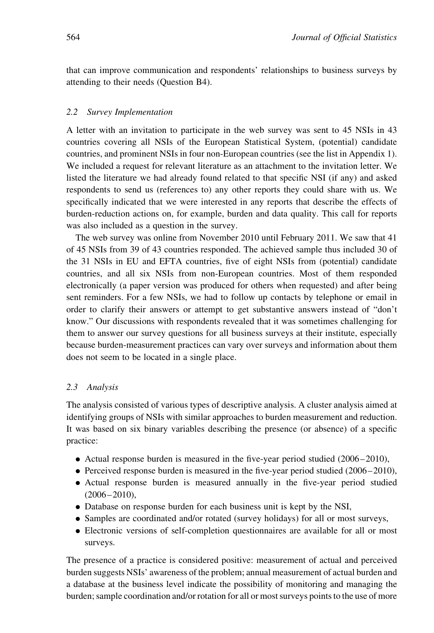that can improve communication and respondents' relationships to business surveys by attending to their needs (Question B4).

### 2.2 Survey Implementation

A letter with an invitation to participate in the web survey was sent to 45 NSIs in 43 countries covering all NSIs of the European Statistical System, (potential) candidate countries, and prominent NSIs in four non-European countries (see the list in Appendix 1). We included a request for relevant literature as an attachment to the invitation letter. We listed the literature we had already found related to that specific NSI (if any) and asked respondents to send us (references to) any other reports they could share with us. We specifically indicated that we were interested in any reports that describe the effects of burden-reduction actions on, for example, burden and data quality. This call for reports was also included as a question in the survey.

The web survey was online from November 2010 until February 2011. We saw that 41 of 45 NSIs from 39 of 43 countries responded. The achieved sample thus included 30 of the 31 NSIs in EU and EFTA countries, five of eight NSIs from (potential) candidate countries, and all six NSIs from non-European countries. Most of them responded electronically (a paper version was produced for others when requested) and after being sent reminders. For a few NSIs, we had to follow up contacts by telephone or email in order to clarify their answers or attempt to get substantive answers instead of "don't know." Our discussions with respondents revealed that it was sometimes challenging for them to answer our survey questions for all business surveys at their institute, especially because burden-measurement practices can vary over surveys and information about them does not seem to be located in a single place.

### 2.3 Analysis

The analysis consisted of various types of descriptive analysis. A cluster analysis aimed at identifying groups of NSIs with similar approaches to burden measurement and reduction. It was based on six binary variables describing the presence (or absence) of a specific practice:

- $\bullet$  Actual response burden is measured in the five-year period studied (2006–2010),
- . Perceived response burden is measured in the five-year period studied (2006–2010),
- . Actual response burden is measured annually in the five-year period studied  $(2006 - 2010)$ ,
- . Database on response burden for each business unit is kept by the NSI,
- . Samples are coordinated and/or rotated (survey holidays) for all or most surveys,
- . Electronic versions of self-completion questionnaires are available for all or most surveys.

The presence of a practice is considered positive: measurement of actual and perceived burden suggests NSIs' awareness of the problem; annual measurement of actual burden and a database at the business level indicate the possibility of monitoring and managing the burden; sample coordination and/or rotation for all or most surveys points to the use of more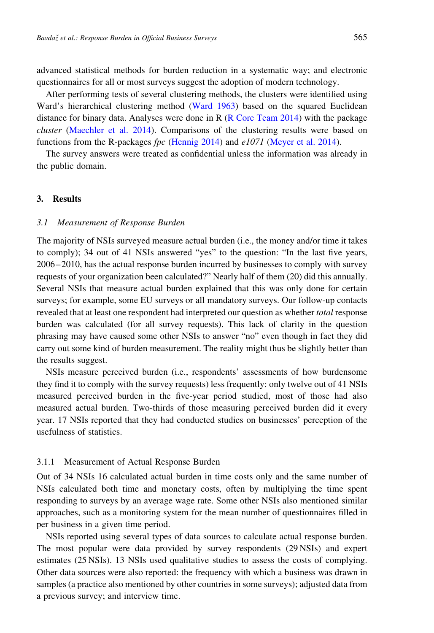advanced statistical methods for burden reduction in a systematic way; and electronic questionnaires for all or most surveys suggest the adoption of modern technology.

After performing tests of several clustering methods, the clusters were identified using Ward's hierarchical clustering method [\(Ward 1963](#page-29-0)) based on the squared Euclidean distance for binary data. Analyses were done in R ([R Core Team 2014\)](#page-28-0) with the package cluster ([Maechler et al. 2014\)](#page-28-0). Comparisons of the clustering results were based on functions from the R-packages fpc ([Hennig 2014](#page-27-0)) and e1071 ([Meyer et al. 2014\)](#page-28-0).

The survey answers were treated as confidential unless the information was already in the public domain.

### 3. Results

#### 3.1 Measurement of Response Burden

The majority of NSIs surveyed measure actual burden (i.e., the money and/or time it takes to comply); 34 out of 41 NSIs answered "yes" to the question: "In the last five years, 2006–2010, has the actual response burden incurred by businesses to comply with survey requests of your organization been calculated?" Nearly half of them (20) did this annually. Several NSIs that measure actual burden explained that this was only done for certain surveys; for example, some EU surveys or all mandatory surveys. Our follow-up contacts revealed that at least one respondent had interpreted our question as whether total response burden was calculated (for all survey requests). This lack of clarity in the question phrasing may have caused some other NSIs to answer "no" even though in fact they did carry out some kind of burden measurement. The reality might thus be slightly better than the results suggest.

NSIs measure perceived burden (i.e., respondents' assessments of how burdensome they find it to comply with the survey requests) less frequently: only twelve out of 41 NSIs measured perceived burden in the five-year period studied, most of those had also measured actual burden. Two-thirds of those measuring perceived burden did it every year. 17 NSIs reported that they had conducted studies on businesses' perception of the usefulness of statistics.

### 3.1.1 Measurement of Actual Response Burden

Out of 34 NSIs 16 calculated actual burden in time costs only and the same number of NSIs calculated both time and monetary costs, often by multiplying the time spent responding to surveys by an average wage rate. Some other NSIs also mentioned similar approaches, such as a monitoring system for the mean number of questionnaires filled in per business in a given time period.

NSIs reported using several types of data sources to calculate actual response burden. The most popular were data provided by survey respondents (29 NSIs) and expert estimates (25 NSIs). 13 NSIs used qualitative studies to assess the costs of complying. Other data sources were also reported: the frequency with which a business was drawn in samples (a practice also mentioned by other countries in some surveys); adjusted data from a previous survey; and interview time.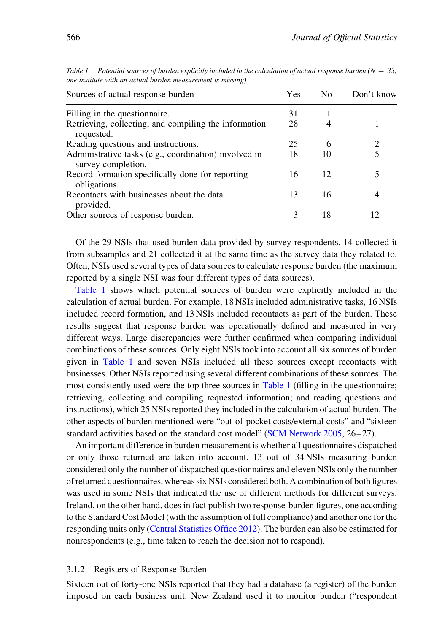| Sources of actual response burden                                           | Yes | N <sub>0</sub> | Don't know |
|-----------------------------------------------------------------------------|-----|----------------|------------|
| Filling in the question aire.                                               | 31  |                |            |
| Retrieving, collecting, and compiling the information<br>requested.         | 28  |                |            |
| Reading questions and instructions.                                         | 25  | 6              |            |
| Administrative tasks (e.g., coordination) involved in<br>survey completion. | 18  | 10             |            |
| Record formation specifically done for reporting<br>obligations.            | 16  | 12             | 5          |
| Recontacts with businesses about the data<br>provided.                      | 13  | 16             | 4          |
| Other sources of response burden.                                           | 3   | 18             | 12         |

Table 1. Potential sources of burden explicitly included in the calculation of actual response burden ( $N = 33$ ; one institute with an actual burden measurement is missing)

Of the 29 NSIs that used burden data provided by survey respondents, 14 collected it from subsamples and 21 collected it at the same time as the survey data they related to. Often, NSIs used several types of data sources to calculate response burden (the maximum reported by a single NSI was four different types of data sources).

Table 1 shows which potential sources of burden were explicitly included in the calculation of actual burden. For example, 18 NSIs included administrative tasks, 16 NSIs included record formation, and 13 NSIs included recontacts as part of the burden. These results suggest that response burden was operationally defined and measured in very different ways. Large discrepancies were further confirmed when comparing individual combinations of these sources. Only eight NSIs took into account all six sources of burden given in Table 1 and seven NSIs included all these sources except recontacts with businesses. Other NSIs reported using several different combinations of these sources. The most consistently used were the top three sources in Table 1 (filling in the questionnaire; retrieving, collecting and compiling requested information; and reading questions and instructions), which 25 NSIs reported they included in the calculation of actual burden. The other aspects of burden mentioned were "out-of-pocket costs/external costs" and "sixteen standard activities based on the standard cost model" ([SCM Network 2005,](#page-29-0) 26–27).

An important difference in burden measurement is whether all questionnaires dispatched or only those returned are taken into account. 13 out of 34 NSIs measuring burden considered only the number of dispatched questionnaires and eleven NSIs only the number of returned questionnaires, whereas six NSIs considered both. A combination of both figures was used in some NSIs that indicated the use of different methods for different surveys. Ireland, on the other hand, does in fact publish two response-burden figures, one according to the Standard Cost Model (with the assumption of full compliance) and another one for the responding units only [\(Central Statistics Office 2012\)](#page-25-0). The burden can also be estimated for nonrespondents (e.g., time taken to reach the decision not to respond).

# 3.1.2 Registers of Response Burden

Sixteen out of forty-one NSIs reported that they had a database (a register) of the burden imposed on each business unit. New Zealand used it to monitor burden ("respondent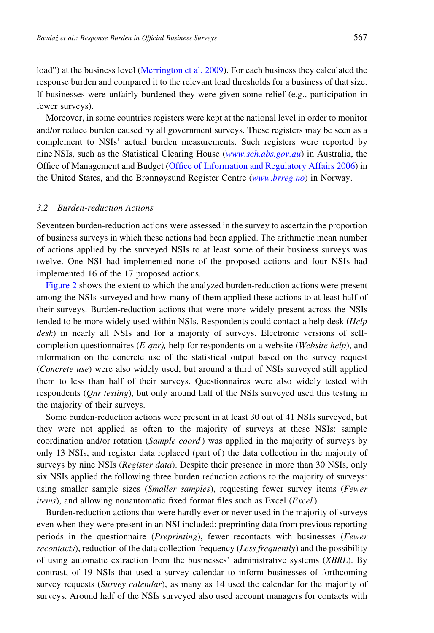load") at the business level ([Merrington et al. 2009](#page-28-0)). For each business they calculated the response burden and compared it to the relevant load thresholds for a business of that size. If businesses were unfairly burdened they were given some relief (e.g., participation in fewer surveys).

Moreover, in some countries registers were kept at the national level in order to monitor and/or reduce burden caused by all government surveys. These registers may be seen as a complement to NSIs' actual burden measurements. Such registers were reported by nine NSIs, such as the Statistical Clearing House ([www.sch.abs.gov.au](http://www.sch.abs.gov.au)) in Australia, the Office of Management and Budget [\(Office of Information and Regulatory Affairs 2006\)](#page-28-0) in the United States, and the Brønnøysund Register Centre ([www.brreg.no](http://www.brreg.no)) in Norway.

### 3.2 Burden-reduction Actions

Seventeen burden-reduction actions were assessed in the survey to ascertain the proportion of business surveys in which these actions had been applied. The arithmetic mean number of actions applied by the surveyed NSIs to at least some of their business surveys was twelve. One NSI had implemented none of the proposed actions and four NSIs had implemented 16 of the 17 proposed actions.

[Figure 2](#page-9-0) shows the extent to which the analyzed burden-reduction actions were present among the NSIs surveyed and how many of them applied these actions to at least half of their surveys. Burden-reduction actions that were more widely present across the NSIs tended to be more widely used within NSIs. Respondents could contact a help desk (Help desk) in nearly all NSIs and for a majority of surveys. Electronic versions of selfcompletion questionnaires  $(E-qnr)$ , help for respondents on a website (Website help), and information on the concrete use of the statistical output based on the survey request (Concrete use) were also widely used, but around a third of NSIs surveyed still applied them to less than half of their surveys. Questionnaires were also widely tested with respondents (Qnr testing), but only around half of the NSIs surveyed used this testing in the majority of their surveys.

Some burden-reduction actions were present in at least 30 out of 41 NSIs surveyed, but they were not applied as often to the majority of surveys at these NSIs: sample coordination and/or rotation (Sample coord) was applied in the majority of surveys by only 13 NSIs, and register data replaced (part of) the data collection in the majority of surveys by nine NSIs (*Register data*). Despite their presence in more than 30 NSIs, only six NSIs applied the following three burden reduction actions to the majority of surveys: using smaller sample sizes (*Smaller samples*), requesting fewer survey items (*Fewer items*), and allowing nonautomatic fixed format files such as Excel (*Excel*).

Burden-reduction actions that were hardly ever or never used in the majority of surveys even when they were present in an NSI included: preprinting data from previous reporting periods in the questionnaire (Preprinting), fewer recontacts with businesses (Fewer recontacts), reduction of the data collection frequency (Less frequently) and the possibility of using automatic extraction from the businesses' administrative systems (XBRL). By contrast, of 19 NSIs that used a survey calendar to inform businesses of forthcoming survey requests (Survey calendar), as many as 14 used the calendar for the majority of surveys. Around half of the NSIs surveyed also used account managers for contacts with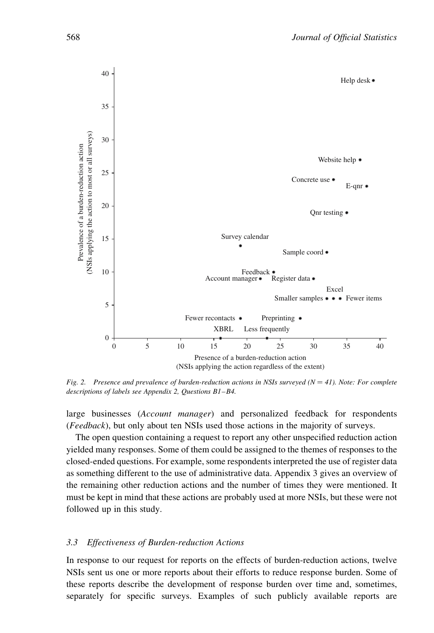<span id="page-9-0"></span>

Fig. 2. Presence and prevalence of burden-reduction actions in NSIs surveyed ( $N = 41$ ). Note: For complete descriptions of labels see Appendix 2, Questions B1–B4.

large businesses (Account manager) and personalized feedback for respondents (Feedback), but only about ten NSIs used those actions in the majority of surveys.

The open question containing a request to report any other unspecified reduction action yielded many responses. Some of them could be assigned to the themes of responses to the closed-ended questions. For example, some respondents interpreted the use of register data as something different to the use of administrative data. Appendix 3 gives an overview of the remaining other reduction actions and the number of times they were mentioned. It must be kept in mind that these actions are probably used at more NSIs, but these were not followed up in this study.

### 3.3 Effectiveness of Burden-reduction Actions

In response to our request for reports on the effects of burden-reduction actions, twelve NSIs sent us one or more reports about their efforts to reduce response burden. Some of these reports describe the development of response burden over time and, sometimes, separately for specific surveys. Examples of such publicly available reports are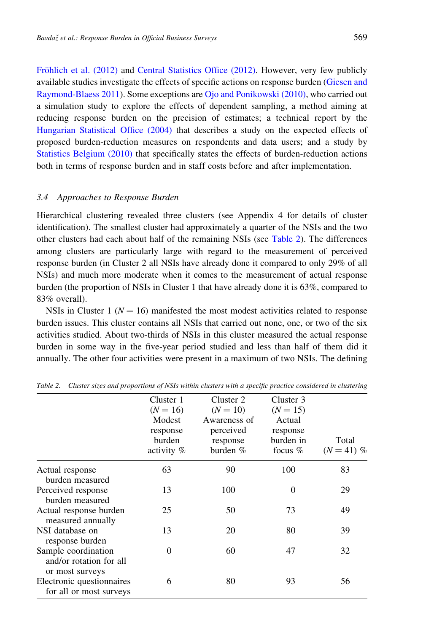Fröhlich et al. (2012) and [Central Statistics Office \(2012\)](#page-25-0). However, very few publicly available studies investigate the effects of specific actions on response burden ([Giesen and](#page-27-0) [Raymond-Blaess 2011](#page-27-0)). Some exceptions are [Ojo and Ponikowski \(2010\),](#page-28-0) who carried out a simulation study to explore the effects of dependent sampling, a method aiming at reducing response burden on the precision of estimates; a technical report by the [Hungarian Statistical Office \(2004\)](#page-27-0) that describes a study on the expected effects of proposed burden-reduction measures on respondents and data users; and a study by [Statistics Belgium \(2010\)](#page-29-0) that specifically states the effects of burden-reduction actions both in terms of response burden and in staff costs before and after implementation.

#### 3.4 Approaches to Response Burden

Hierarchical clustering revealed three clusters (see Appendix 4 for details of cluster identification). The smallest cluster had approximately a quarter of the NSIs and the two other clusters had each about half of the remaining NSIs (see Table 2). The differences among clusters are particularly large with regard to the measurement of perceived response burden (in Cluster 2 all NSIs have already done it compared to only 29% of all NSIs) and much more moderate when it comes to the measurement of actual response burden (the proportion of NSIs in Cluster 1 that have already done it is 63%, compared to 83% overall).

NSIs in Cluster 1 ( $N = 16$ ) manifested the most modest activities related to response burden issues. This cluster contains all NSIs that carried out none, one, or two of the six activities studied. About two-thirds of NSIs in this cluster measured the actual response burden in some way in the five-year period studied and less than half of them did it annually. The other four activities were present in a maximum of two NSIs. The defining

|                                                                         | Cluster 1<br>$(N = 16)$<br>Modest<br>response<br>burden<br>activity % | Cluster 2<br>$(N = 10)$<br>Awareness of<br>perceived<br>response<br>burden $%$ | Cluster 3<br>$(N = 15)$<br>Actual<br>response<br>burden in<br>focus $%$ | Total<br>$(N = 41)$ % |
|-------------------------------------------------------------------------|-----------------------------------------------------------------------|--------------------------------------------------------------------------------|-------------------------------------------------------------------------|-----------------------|
| Actual response                                                         | 63                                                                    | 90                                                                             | 100                                                                     | 83                    |
| burden measured                                                         |                                                                       |                                                                                |                                                                         |                       |
| Perceived response<br>burden measured                                   | 13                                                                    | 100                                                                            | $\Omega$                                                                | 29                    |
| Actual response burden<br>measured annually                             | 25                                                                    | 50                                                                             | 73                                                                      | 49                    |
| NSI database on<br>response burden                                      | 13                                                                    | 20                                                                             | 80                                                                      | 39                    |
| Sample coordination<br>and/or rotation for all                          | $\theta$                                                              | 60                                                                             | 47                                                                      | 32                    |
| or most surveys<br>Electronic questionnaires<br>for all or most surveys | 6                                                                     | 80                                                                             | 93                                                                      | 56                    |

Table 2. Cluster sizes and proportions of NSIs within clusters with a specific practice considered in clustering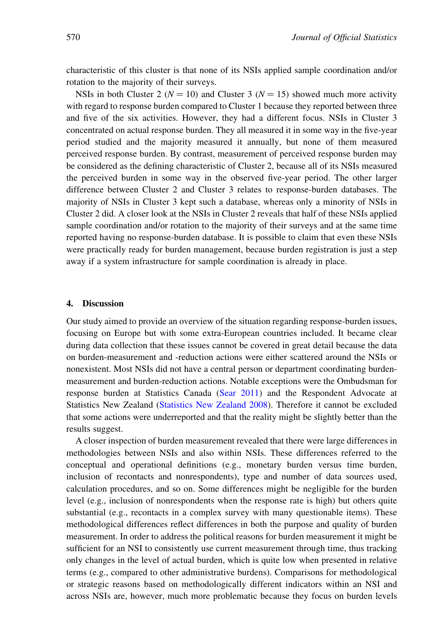characteristic of this cluster is that none of its NSIs applied sample coordination and/or rotation to the majority of their surveys.

NSIs in both Cluster 2 ( $N = 10$ ) and Cluster 3 ( $N = 15$ ) showed much more activity with regard to response burden compared to Cluster 1 because they reported between three and five of the six activities. However, they had a different focus. NSIs in Cluster 3 concentrated on actual response burden. They all measured it in some way in the five-year period studied and the majority measured it annually, but none of them measured perceived response burden. By contrast, measurement of perceived response burden may be considered as the defining characteristic of Cluster 2, because all of its NSIs measured the perceived burden in some way in the observed five-year period. The other larger difference between Cluster 2 and Cluster 3 relates to response-burden databases. The majority of NSIs in Cluster 3 kept such a database, whereas only a minority of NSIs in Cluster 2 did. A closer look at the NSIs in Cluster 2 reveals that half of these NSIs applied sample coordination and/or rotation to the majority of their surveys and at the same time reported having no response-burden database. It is possible to claim that even these NSIs were practically ready for burden management, because burden registration is just a step away if a system infrastructure for sample coordination is already in place.

### 4. Discussion

Our study aimed to provide an overview of the situation regarding response-burden issues, focusing on Europe but with some extra-European countries included. It became clear during data collection that these issues cannot be covered in great detail because the data on burden-measurement and -reduction actions were either scattered around the NSIs or nonexistent. Most NSIs did not have a central person or department coordinating burdenmeasurement and burden-reduction actions. Notable exceptions were the Ombudsman for response burden at Statistics Canada [\(Sear 2011](#page-29-0)) and the Respondent Advocate at Statistics New Zealand ([Statistics New Zealand 2008](#page-29-0)). Therefore it cannot be excluded that some actions were underreported and that the reality might be slightly better than the results suggest.

A closer inspection of burden measurement revealed that there were large differences in methodologies between NSIs and also within NSIs. These differences referred to the conceptual and operational definitions (e.g., monetary burden versus time burden, inclusion of recontacts and nonrespondents), type and number of data sources used, calculation procedures, and so on. Some differences might be negligible for the burden level (e.g., inclusion of nonrespondents when the response rate is high) but others quite substantial (e.g., recontacts in a complex survey with many questionable items). These methodological differences reflect differences in both the purpose and quality of burden measurement. In order to address the political reasons for burden measurement it might be sufficient for an NSI to consistently use current measurement through time, thus tracking only changes in the level of actual burden, which is quite low when presented in relative terms (e.g., compared to other administrative burdens). Comparisons for methodological or strategic reasons based on methodologically different indicators within an NSI and across NSIs are, however, much more problematic because they focus on burden levels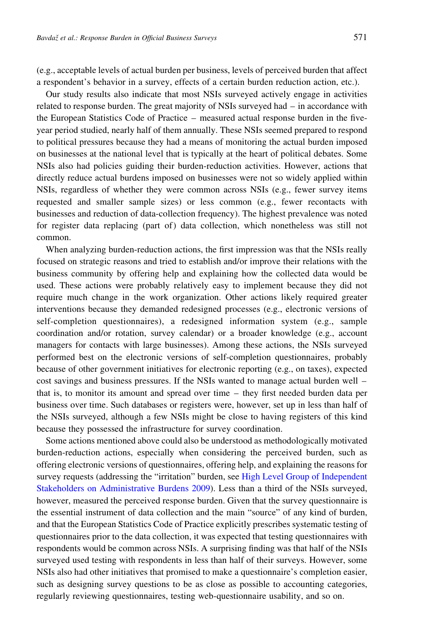(e.g., acceptable levels of actual burden per business, levels of perceived burden that affect a respondent's behavior in a survey, effects of a certain burden reduction action, etc.).

Our study results also indicate that most NSIs surveyed actively engage in activities related to response burden. The great majority of NSIs surveyed had – in accordance with the European Statistics Code of Practice – measured actual response burden in the fiveyear period studied, nearly half of them annually. These NSIs seemed prepared to respond to political pressures because they had a means of monitoring the actual burden imposed on businesses at the national level that is typically at the heart of political debates. Some NSIs also had policies guiding their burden-reduction activities. However, actions that directly reduce actual burdens imposed on businesses were not so widely applied within NSIs, regardless of whether they were common across NSIs (e.g., fewer survey items requested and smaller sample sizes) or less common (e.g., fewer recontacts with businesses and reduction of data-collection frequency). The highest prevalence was noted for register data replacing (part of) data collection, which nonetheless was still not common.

When analyzing burden-reduction actions, the first impression was that the NSIs really focused on strategic reasons and tried to establish and/or improve their relations with the business community by offering help and explaining how the collected data would be used. These actions were probably relatively easy to implement because they did not require much change in the work organization. Other actions likely required greater interventions because they demanded redesigned processes (e.g., electronic versions of self-completion questionnaires), a redesigned information system (e.g., sample coordination and/or rotation, survey calendar) or a broader knowledge (e.g., account managers for contacts with large businesses). Among these actions, the NSIs surveyed performed best on the electronic versions of self-completion questionnaires, probably because of other government initiatives for electronic reporting (e.g., on taxes), expected cost savings and business pressures. If the NSIs wanted to manage actual burden well – that is, to monitor its amount and spread over time – they first needed burden data per business over time. Such databases or registers were, however, set up in less than half of the NSIs surveyed, although a few NSIs might be close to having registers of this kind because they possessed the infrastructure for survey coordination.

Some actions mentioned above could also be understood as methodologically motivated burden-reduction actions, especially when considering the perceived burden, such as offering electronic versions of questionnaires, offering help, and explaining the reasons for survey requests (addressing the "irritation" burden, see [High Level Group of Independent](#page-27-0) [Stakeholders on Administrative Burdens 2009\)](#page-27-0). Less than a third of the NSIs surveyed, however, measured the perceived response burden. Given that the survey questionnaire is the essential instrument of data collection and the main "source" of any kind of burden, and that the European Statistics Code of Practice explicitly prescribes systematic testing of questionnaires prior to the data collection, it was expected that testing questionnaires with respondents would be common across NSIs. A surprising finding was that half of the NSIs surveyed used testing with respondents in less than half of their surveys. However, some NSIs also had other initiatives that promised to make a questionnaire's completion easier, such as designing survey questions to be as close as possible to accounting categories, regularly reviewing questionnaires, testing web-questionnaire usability, and so on.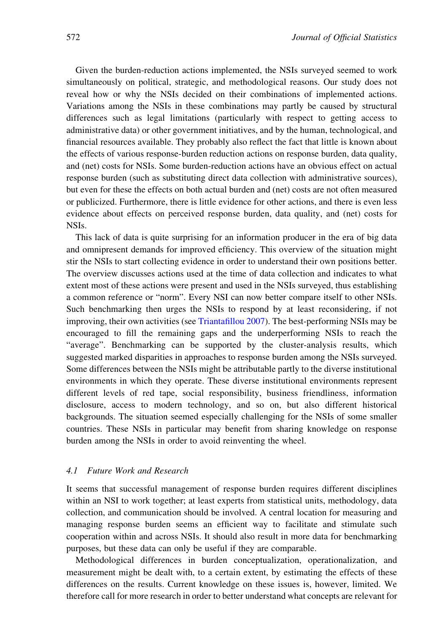Given the burden-reduction actions implemented, the NSIs surveyed seemed to work simultaneously on political, strategic, and methodological reasons. Our study does not reveal how or why the NSIs decided on their combinations of implemented actions. Variations among the NSIs in these combinations may partly be caused by structural differences such as legal limitations (particularly with respect to getting access to administrative data) or other government initiatives, and by the human, technological, and financial resources available. They probably also reflect the fact that little is known about the effects of various response-burden reduction actions on response burden, data quality, and (net) costs for NSIs. Some burden-reduction actions have an obvious effect on actual response burden (such as substituting direct data collection with administrative sources), but even for these the effects on both actual burden and (net) costs are not often measured or publicized. Furthermore, there is little evidence for other actions, and there is even less evidence about effects on perceived response burden, data quality, and (net) costs for NSIs.

This lack of data is quite surprising for an information producer in the era of big data and omnipresent demands for improved efficiency. This overview of the situation might stir the NSIs to start collecting evidence in order to understand their own positions better. The overview discusses actions used at the time of data collection and indicates to what extent most of these actions were present and used in the NSIs surveyed, thus establishing a common reference or "norm". Every NSI can now better compare itself to other NSIs. Such benchmarking then urges the NSIs to respond by at least reconsidering, if not improving, their own activities (see [Triantafillou 2007](#page-29-0)). The best-performing NSIs may be encouraged to fill the remaining gaps and the underperforming NSIs to reach the "average". Benchmarking can be supported by the cluster-analysis results, which suggested marked disparities in approaches to response burden among the NSIs surveyed. Some differences between the NSIs might be attributable partly to the diverse institutional environments in which they operate. These diverse institutional environments represent different levels of red tape, social responsibility, business friendliness, information disclosure, access to modern technology, and so on, but also different historical backgrounds. The situation seemed especially challenging for the NSIs of some smaller countries. These NSIs in particular may benefit from sharing knowledge on response burden among the NSIs in order to avoid reinventing the wheel.

### 4.1 Future Work and Research

It seems that successful management of response burden requires different disciplines within an NSI to work together; at least experts from statistical units, methodology, data collection, and communication should be involved. A central location for measuring and managing response burden seems an efficient way to facilitate and stimulate such cooperation within and across NSIs. It should also result in more data for benchmarking purposes, but these data can only be useful if they are comparable.

Methodological differences in burden conceptualization, operationalization, and measurement might be dealt with, to a certain extent, by estimating the effects of these differences on the results. Current knowledge on these issues is, however, limited. We therefore call for more research in order to better understand what concepts are relevant for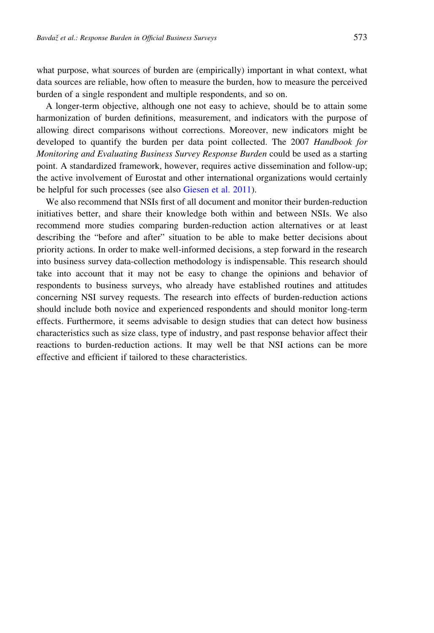what purpose, what sources of burden are (empirically) important in what context, what data sources are reliable, how often to measure the burden, how to measure the perceived burden of a single respondent and multiple respondents, and so on.

A longer-term objective, although one not easy to achieve, should be to attain some harmonization of burden definitions, measurement, and indicators with the purpose of allowing direct comparisons without corrections. Moreover, new indicators might be developed to quantify the burden per data point collected. The 2007 Handbook for Monitoring and Evaluating Business Survey Response Burden could be used as a starting point. A standardized framework, however, requires active dissemination and follow-up; the active involvement of Eurostat and other international organizations would certainly be helpful for such processes (see also [Giesen et al. 2011\)](#page-27-0).

We also recommend that NSIs first of all document and monitor their burden-reduction initiatives better, and share their knowledge both within and between NSIs. We also recommend more studies comparing burden-reduction action alternatives or at least describing the "before and after" situation to be able to make better decisions about priority actions. In order to make well-informed decisions, a step forward in the research into business survey data-collection methodology is indispensable. This research should take into account that it may not be easy to change the opinions and behavior of respondents to business surveys, who already have established routines and attitudes concerning NSI survey requests. The research into effects of burden-reduction actions should include both novice and experienced respondents and should monitor long-term effects. Furthermore, it seems advisable to design studies that can detect how business characteristics such as size class, type of industry, and past response behavior affect their reactions to burden-reduction actions. It may well be that NSI actions can be more effective and efficient if tailored to these characteristics.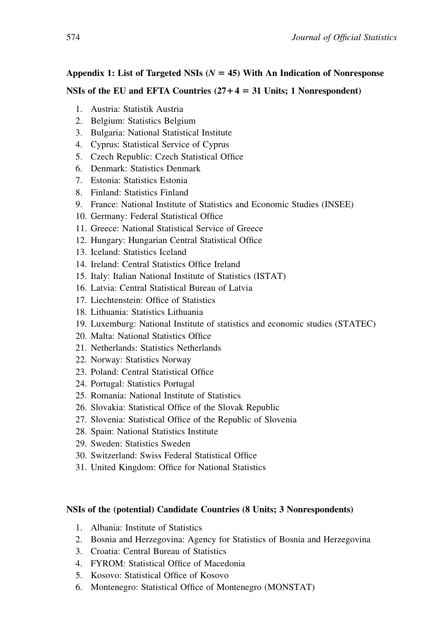# Appendix 1: List of Targeted NSIs  $(N = 45)$  With An Indication of Nonresponse

# NSIs of the EU and EFTA Countries  $(27 + 4 = 31 \text{ Units}; 1 \text{ Nonrespondent})$

- 1. Austria: Statistik Austria
- 2. Belgium: Statistics Belgium
- 3. Bulgaria: National Statistical Institute
- 4. Cyprus: Statistical Service of Cyprus
- 5. Czech Republic: Czech Statistical Office
- 6. Denmark: Statistics Denmark
- 7. Estonia: Statistics Estonia
- 8. Finland: Statistics Finland
- 9. France: National Institute of Statistics and Economic Studies (INSEE)
- 10. Germany: Federal Statistical Office
- 11. Greece: National Statistical Service of Greece
- 12. Hungary: Hungarian Central Statistical Office
- 13. Iceland: Statistics Iceland
- 14. Ireland: Central Statistics Office Ireland
- 15. Italy: Italian National Institute of Statistics (ISTAT)
- 16. Latvia: Central Statistical Bureau of Latvia
- 17. Liechtenstein: Office of Statistics
- 18. Lithuania: Statistics Lithuania
- 19. Luxemburg: National Institute of statistics and economic studies (STATEC)
- 20. Malta: National Statistics Office
- 21. Netherlands: Statistics Netherlands
- 22. Norway: Statistics Norway
- 23. Poland: Central Statistical Office
- 24. Portugal: Statistics Portugal
- 25. Romania: National Institute of Statistics
- 26. Slovakia: Statistical Office of the Slovak Republic
- 27. Slovenia: Statistical Office of the Republic of Slovenia
- 28. Spain: National Statistics Institute
- 29. Sweden: Statistics Sweden
- 30. Switzerland: Swiss Federal Statistical Office
- 31. United Kingdom: Office for National Statistics

## NSIs of the (potential) Candidate Countries (8 Units; 3 Nonrespondents)

- 1. Albania: Institute of Statistics
- 2. Bosnia and Herzegovina: Agency for Statistics of Bosnia and Herzegovina
- 3. Croatia: Central Bureau of Statistics
- 4. FYROM: Statistical Office of Macedonia
- 5. Kosovo: Statistical Office of Kosovo
- 6. Montenegro: Statistical Office of Montenegro (MONSTAT)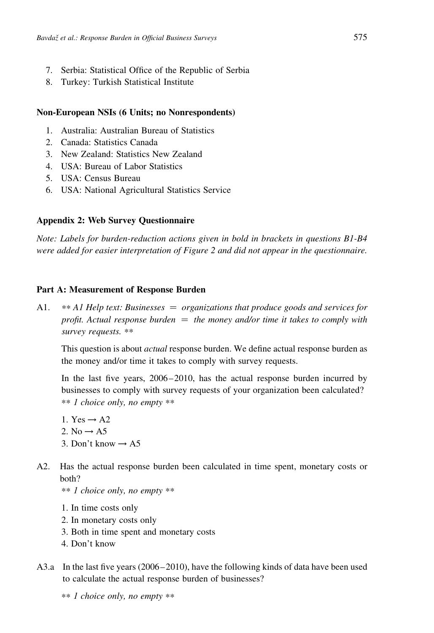- 7. Serbia: Statistical Office of the Republic of Serbia
- 8. Turkey: Turkish Statistical Institute

### Non-European NSIs (6 Units; no Nonrespondents)

- 1. Australia: Australian Bureau of Statistics
- 2. Canada: Statistics Canada
- 3. New Zealand: Statistics New Zealand
- 4. USA: Bureau of Labor Statistics
- 5. USA: Census Bureau
- 6. USA: National Agricultural Statistics Service

### Appendix 2: Web Survey Questionnaire

Note: Labels for burden-reduction actions given in bold in brackets in questions B1-B4 were added for easier interpretation of Figure 2 and did not appear in the questionnaire.

### Part A: Measurement of Response Burden

A1.  $**$  A1 Help text: Businesses  $=$  organizations that produce goods and services for profit. Actual response burden  $=$  the money and/or time it takes to comply with survey requests. \*\*

This question is about actual response burden. We define actual response burden as the money and/or time it takes to comply with survey requests.

In the last five years, 2006–2010, has the actual response burden incurred by businesses to comply with survey requests of your organization been calculated? \*\* 1 choice only, no empty \*\*

- 1. Yes  $\rightarrow$  A2 2. No  $\rightarrow$  A5
- 3. Don't know  $\rightarrow$  A5
- A2. Has the actual response burden been calculated in time spent, monetary costs or both?

\*\* 1 choice only, no empty \*\*

- 1. In time costs only
- 2. In monetary costs only
- 3. Both in time spent and monetary costs
- 4. Don't know
- A3.a In the last five years (2006–2010), have the following kinds of data have been used to calculate the actual response burden of businesses?
	- \*\* 1 choice only, no empty \*\*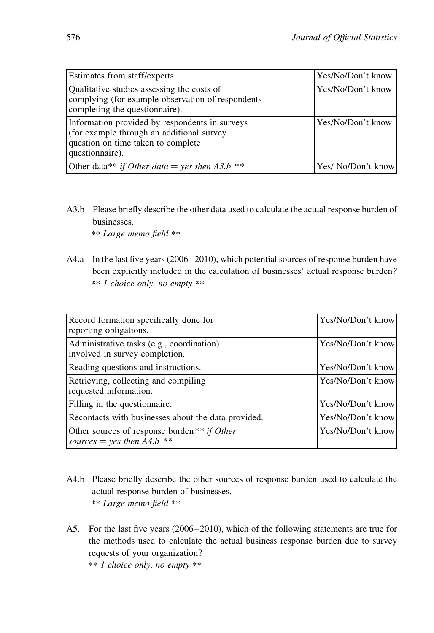| Estimates from staff/experts.                                                                                                                        | Yes/No/Don't know  |
|------------------------------------------------------------------------------------------------------------------------------------------------------|--------------------|
| Qualitative studies assessing the costs of<br>complying (for example observation of respondents<br>completing the questionnaire).                    | Yes/No/Don't know  |
| Information provided by respondents in surveys<br>(for example through an additional survey<br>question on time taken to complete<br>questionnaire). | Yes/No/Don't know  |
| Other data** if Other data = yes then A3.b **                                                                                                        | Yes/ No/Don't know |

- A3.b Please briefly describe the other data used to calculate the actual response burden of businesses. \*\* Large memo field \*\*
- A4.a In the last five years (2006–2010), which potential sources of response burden have been explicitly included in the calculation of businesses' actual response burden? \*\* 1 choice only, no empty \*\*

| Record formation specifically done for<br>reporting obligations.                    | Yes/No/Don't know |
|-------------------------------------------------------------------------------------|-------------------|
| Administrative tasks (e.g., coordination)<br>involved in survey completion.         | Yes/No/Don't know |
| Reading questions and instructions.                                                 | Yes/No/Don't know |
| Retrieving, collecting and compiling<br>requested information.                      | Yes/No/Don't know |
| Filling in the questionnaire.                                                       | Yes/No/Don't know |
| Recontacts with businesses about the data provided.                                 | Yes/No/Don't know |
| Other sources of response burden ** <i>if Other</i><br>sources = yes then $A4.b$ ** | Yes/No/Don't know |

- A4.b Please briefly describe the other sources of response burden used to calculate the actual response burden of businesses. \*\* Large memo field \*\*
- A5. For the last five years (2006–2010), which of the following statements are true for the methods used to calculate the actual business response burden due to survey requests of your organization? \*\* 1 choice only, no empty \*\*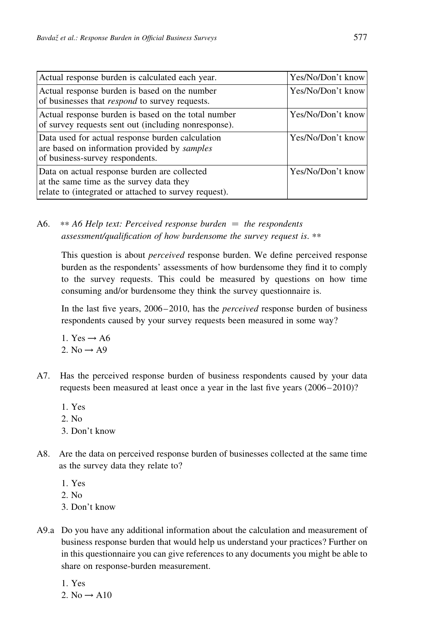| Actual response burden is calculated each year.                                                                                                   | Yes/No/Don't know |
|---------------------------------------------------------------------------------------------------------------------------------------------------|-------------------|
| Actual response burden is based on the number<br>of businesses that <i>respond</i> to survey requests.                                            | Yes/No/Don't know |
| Actual response burden is based on the total number<br>of survey requests sent out (including nonresponse).                                       | Yes/No/Don't know |
| Data used for actual response burden calculation<br>are based on information provided by samples<br>of business-survey respondents.               | Yes/No/Don't know |
| Data on actual response burden are collected<br>at the same time as the survey data they<br>relate to (integrated or attached to survey request). | Yes/No/Don't know |

A6. \*\* A6 Help text: Perceived response burden  $=$  the respondents assessment/qualification of how burdensome the survey request is. \*\*

This question is about perceived response burden. We define perceived response burden as the respondents' assessments of how burdensome they find it to comply to the survey requests. This could be measured by questions on how time consuming and/or burdensome they think the survey questionnaire is.

In the last five years, 2006–2010, has the perceived response burden of business respondents caused by your survey requests been measured in some way?

- 1. Yes  $\rightarrow$  A6 2. No  $\rightarrow$  A9
- A7. Has the perceived response burden of business respondents caused by your data requests been measured at least once a year in the last five years (2006–2010)?
	- 1. Yes
	- 2. No
	- 3. Don't know
- A8. Are the data on perceived response burden of businesses collected at the same time as the survey data they relate to?
	- 1. Yes
	- 2. No
	- 3. Don't know
- A9.a Do you have any additional information about the calculation and measurement of business response burden that would help us understand your practices? Further on in this questionnaire you can give references to any documents you might be able to share on response-burden measurement.
	- 1. Yes 2. No  $\rightarrow$  A10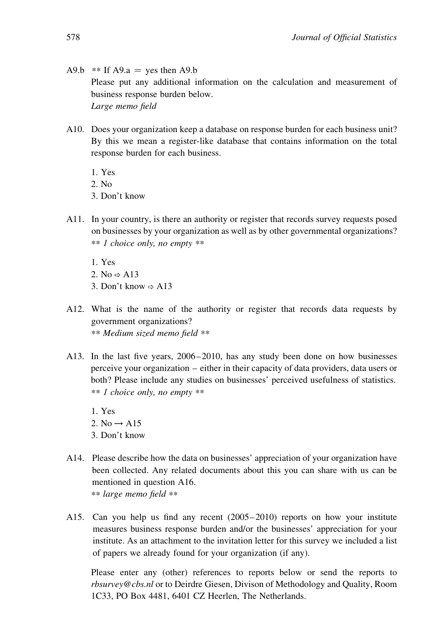- A9.b  $**$  If A9.a = yes then A9.b Please put any additional information on the calculation and measurement of business response burden below. Large memo field
- A10. Does your organization keep a database on response burden for each business unit? By this we mean a register-like database that contains information on the total response burden for each business.
	- 1. Yes
	- 2. No
	- 3. Don't know
- A11. In your country, is there an authority or register that records survey requests posed on businesses by your organization as well as by other governmental organizations? \*\* 1 choice only, no empty \*\*
	- 1. Yes 2. No  $\Leftrightarrow$  A13 3. Don't know  $\Leftrightarrow$  A13
- A12. What is the name of the authority or register that records data requests by government organizations? \*\* Medium sized memo field \*\*
- A13. In the last five years, 2006–2010, has any study been done on how businesses perceive your organization – either in their capacity of data providers, data users or both? Please include any studies on businesses' perceived usefulness of statistics. \*\* 1 choice only, no empty \*\*
	- 1. Yes
	- 2. No  $\rightarrow$  A15
	- 3. Don't know
- A14. Please describe how the data on businesses' appreciation of your organization have been collected. Any related documents about this you can share with us can be mentioned in question A16. \*\* large memo field \*\*
- A15. Can you help us find any recent (2005–2010) reports on how your institute measures business response burden and/or the businesses' appreciation for your institute. As an attachment to the invitation letter for this survey we included a list of papers we already found for your organization (if any).

Please enter any (other) references to reports below or send the reports to rbsurvey@cbs.nl or to Deirdre Giesen, Divison of Methodology and Quality, Room 1C33, PO Box 4481, 6401 CZ Heerlen, The Netherlands.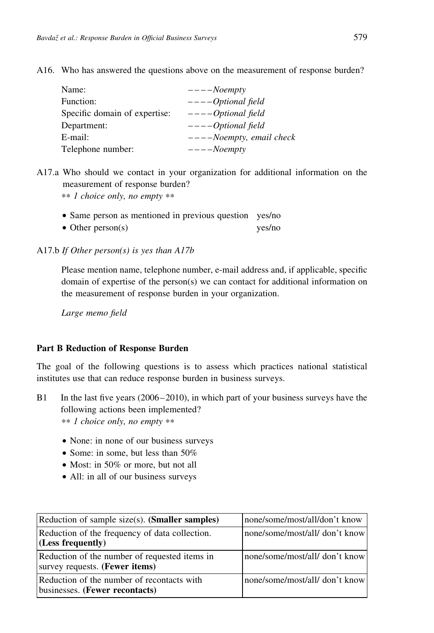A16. Who has answered the questions above on the measurement of response burden?

| Name:                         | $---Noempty$              |
|-------------------------------|---------------------------|
| Function:                     | $---Optional$ field       |
| Specific domain of expertise: | $---Optional$ field       |
| Department:                   | $---Optional$ field       |
| E-mail:                       | $---Noempty, email check$ |
| Telephone number:             | $---Noempty$              |

- A17.a Who should we contact in your organization for additional information on the measurement of response burden?
	- \*\* 1 choice only, no empty \*\*
	- Same person as mentioned in previous question yes/no
	- Other person(s) yes/no

### A17.b If Other person(s) is yes than A17b

Please mention name, telephone number, e-mail address and, if applicable, specific domain of expertise of the person(s) we can contact for additional information on the measurement of response burden in your organization.

Large memo field

### Part B Reduction of Response Burden

The goal of the following questions is to assess which practices national statistical institutes use that can reduce response burden in business surveys.

- B1 In the last five years (2006–2010), in which part of your business surveys have the following actions been implemented? \*\* 1 choice only, no empty \*\*
	- † None: in none of our business surveys
	- Some: in some, but less than  $50\%$
	- Most: in 50% or more, but not all
	- All: in all of our business surveys

| Reduction of sample size(s). (Smaller samples)                                  | none/some/most/all/don't know  |
|---------------------------------------------------------------------------------|--------------------------------|
| Reduction of the frequency of data collection.<br>(Less frequently)             | none/some/most/all/ don't know |
| Reduction of the number of requested items in<br>survey requests. (Fewer items) | none/some/most/all/ don't know |
| Reduction of the number of recontacts with<br>businesses. (Fewer recontacts)    | none/some/most/all/ don't know |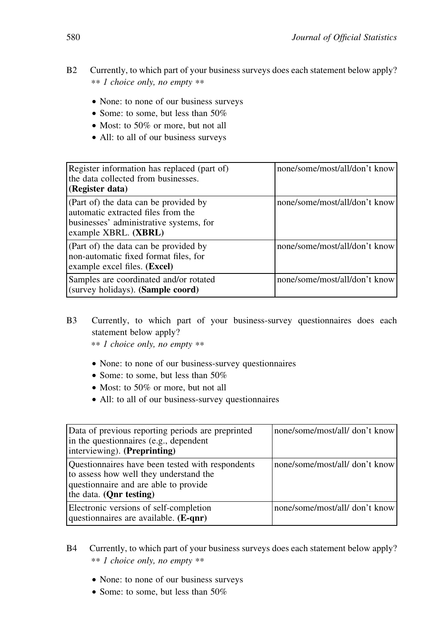- B2 Currently, to which part of your business surveys does each statement below apply? \*\* 1 choice only, no empty \*\*
	- None: to none of our business surveys
	- Some: to some, but less than  $50\%$
	- Most: to 50% or more, but not all
	- All: to all of our business surveys

| Register information has replaced (part of)<br>the data collected from businesses.<br>(Register data)                                          | none/some/most/all/don't know |
|------------------------------------------------------------------------------------------------------------------------------------------------|-------------------------------|
| (Part of) the data can be provided by<br>automatic extracted files from the<br>businesses' administrative systems, for<br>example XBRL. (XBRL) | none/some/most/all/don't know |
| (Part of) the data can be provided by<br>non-automatic fixed format files, for<br>example excel files. ( <b>Excel</b> )                        | none/some/most/all/don't know |
| Samples are coordinated and/or rotated<br>(survey holidays). (Sample coord)                                                                    | none/some/most/all/don't know |

- B3 Currently, to which part of your business-survey questionnaires does each statement below apply?
	- \*\* 1 choice only, no empty \*\*
	- † None: to none of our business-survey questionnaires
	- Some: to some, but less than  $50\%$
	- Most: to 50% or more, but not all
	- † All: to all of our business-survey questionnaires

| Data of previous reporting periods are preprinted<br>in the questionnaires (e.g., dependent<br>interviewing). (Preprinting)                                            | none/some/most/all/ don't know |
|------------------------------------------------------------------------------------------------------------------------------------------------------------------------|--------------------------------|
| Questionnaires have been tested with respondents<br>to assess how well they understand the<br>questionnaire and are able to provide<br>the data. ( <b>Qnr</b> testing) | none/some/most/all/ don't know |
| Electronic versions of self-completion<br>questionnaires are available. (E-qnr)                                                                                        | none/some/most/all/ don't know |

- B4 Currently, to which part of your business surveys does each statement below apply? \*\* 1 choice only, no empty \*\*
	- None: to none of our business surveys
	- Some: to some, but less than  $50\%$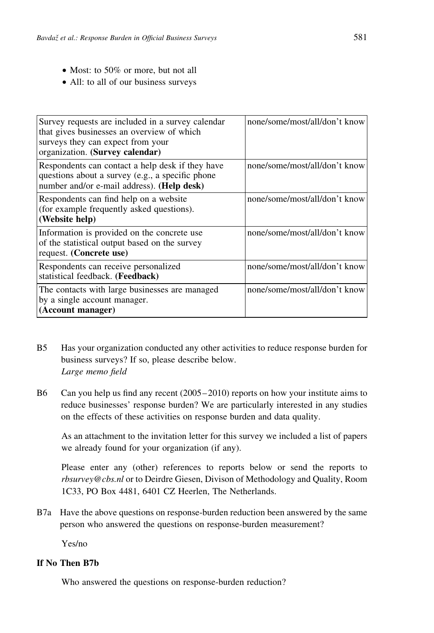- Most: to 50% or more, but not all
- All: to all of our business surveys

| Survey requests are included in a survey calendar<br>that gives businesses an overview of which<br>surveys they can expect from your<br>organization. (Survey calendar) | none/some/most/all/don't know |
|-------------------------------------------------------------------------------------------------------------------------------------------------------------------------|-------------------------------|
| Respondents can contact a help desk if they have<br>questions about a survey (e.g., a specific phone<br>number and/or e-mail address). (Help desk)                      | none/some/most/all/don't know |
| Respondents can find help on a website<br>(for example frequently asked questions).<br>(Website help)                                                                   | none/some/most/all/don't know |
| Information is provided on the concrete use.<br>of the statistical output based on the survey<br>request. (Concrete use)                                                | none/some/most/all/don't know |
| Respondents can receive personalized<br>statistical feedback. (Feedback)                                                                                                | none/some/most/all/don't know |
| The contacts with large businesses are managed<br>by a single account manager.<br>(Account manager)                                                                     | none/some/most/all/don't know |

- B5 Has your organization conducted any other activities to reduce response burden for business surveys? If so, please describe below. Large memo field
- B6 Can you help us find any recent (2005–2010) reports on how your institute aims to reduce businesses' response burden? We are particularly interested in any studies on the effects of these activities on response burden and data quality.

As an attachment to the invitation letter for this survey we included a list of papers we already found for your organization (if any).

Please enter any (other) references to reports below or send the reports to rbsurvey@cbs.nl or to Deirdre Giesen, Divison of Methodology and Quality, Room 1C33, PO Box 4481, 6401 CZ Heerlen, The Netherlands.

B7a Have the above questions on response-burden reduction been answered by the same person who answered the questions on response-burden measurement?

Yes/no

# If No Then B7b

Who answered the questions on response-burden reduction?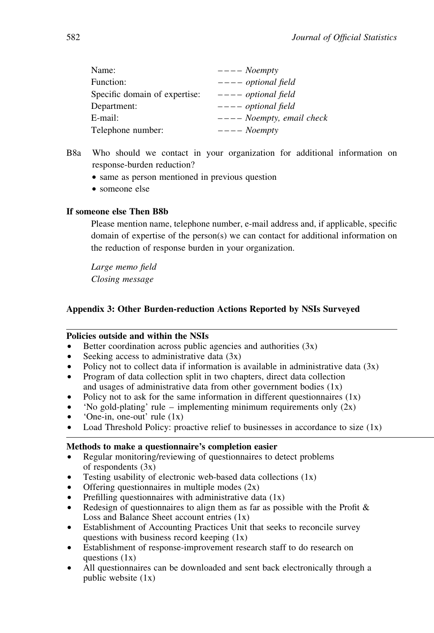| Name:                         | $---$ <i>Noempty</i>       |
|-------------------------------|----------------------------|
| Function:                     | $---$ optional field       |
| Specific domain of expertise: | $---$ optional field       |
| Department:                   | $---$ optional field       |
| E-mail:                       | $---$ Noempty, email check |
| Telephone number:             | $---$ <i>Noempty</i>       |

- B8a Who should we contact in your organization for additional information on response-burden reduction?
	- same as person mentioned in previous question
	- someone else

### If someone else Then B8b

Please mention name, telephone number, e-mail address and, if applicable, specific domain of expertise of the person(s) we can contact for additional information on the reduction of response burden in your organization.

Large memo field Closing message

### Appendix 3: Other Burden-reduction Actions Reported by NSIs Surveyed

### Policies outside and within the NSIs

- Better coordination across public agencies and authorities  $(3x)$
- Seeking access to administrative data  $(3x)$
- Policy not to collect data if information is available in administrative data  $(3x)$
- † Program of data collection split in two chapters, direct data collection and usages of administrative data from other government bodies  $(1x)$
- Policy not to ask for the same information in different questionnaires  $(1x)$
- 'No gold-plating' rule implementing minimum requirements only  $(2x)$
- 'One-in, one-out' rule  $(1x)$
- Load Threshold Policy: proactive relief to businesses in accordance to size  $(1x)$

### Methods to make a questionnaire's completion easier

- † Regular monitoring/reviewing of questionnaires to detect problems of respondents  $(3x)$
- Testing usability of electronic web-based data collections  $(1x)$
- Offering questionnaires in multiple modes  $(2x)$
- Prefilling questionnaires with administrative data  $(1x)$
- Redesign of questionnaires to align them as far as possible with the Profit  $\&$ Loss and Balance Sheet account entries (1x)
- † Establishment of Accounting Practices Unit that seeks to reconcile survey questions with business record keeping  $(1x)$
- † Establishment of response-improvement research staff to do research on questions (1x)
- All questionnaires can be downloaded and sent back electronically through a public website (1x)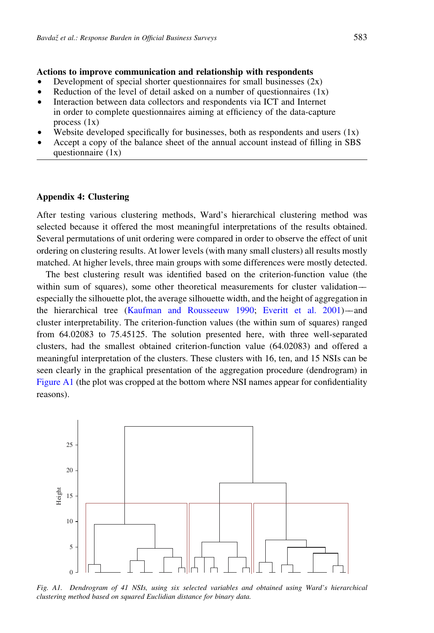#### Actions to improve communication and relationship with respondents

- Development of special shorter questionnaires for small businesses  $(2x)$
- Reduction of the level of detail asked on a number of questionnaires  $(1x)$
- † Interaction between data collectors and respondents via ICT and Internet in order to complete questionnaires aiming at efficiency of the data-capture process (1x)
- Website developed specifically for businesses, both as respondents and users  $(1x)$
- † Accept a copy of the balance sheet of the annual account instead of filling in SBS questionnaire (1x)

### Appendix 4: Clustering

After testing various clustering methods, Ward's hierarchical clustering method was selected because it offered the most meaningful interpretations of the results obtained. Several permutations of unit ordering were compared in order to observe the effect of unit ordering on clustering results. At lower levels (with many small clusters) all results mostly matched. At higher levels, three main groups with some differences were mostly detected.

The best clustering result was identified based on the criterion-function value (the within sum of squares), some other theoretical measurements for cluster validation especially the silhouette plot, the average silhouette width, and the height of aggregation in the hierarchical tree [\(Kaufman and Rousseeuw 1990;](#page-27-0) [Everitt et al. 2001\)](#page-26-0)––and cluster interpretability. The criterion-function values (the within sum of squares) ranged from 64.02083 to 75.45125. The solution presented here, with three well-separated clusters, had the smallest obtained criterion-function value (64.02083) and offered a meaningful interpretation of the clusters. These clusters with 16, ten, and 15 NSIs can be seen clearly in the graphical presentation of the aggregation procedure (dendrogram) in Figure A1 (the plot was cropped at the bottom where NSI names appear for confidentiality reasons).



Fig. A1. Dendrogram of 41 NSIs, using six selected variables and obtained using Ward's hierarchical clustering method based on squared Euclidian distance for binary data.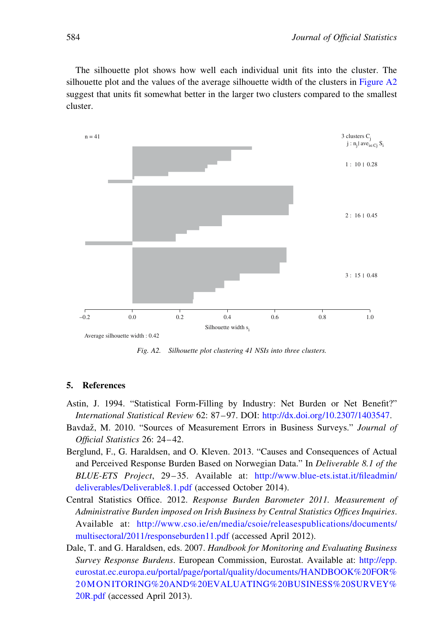<span id="page-25-0"></span>The silhouette plot shows how well each individual unit fits into the cluster. The silhouette plot and the values of the average silhouette width of the clusters in Figure  $A2$ suggest that units fit somewhat better in the larger two clusters compared to the smallest cluster.



Fig. A2. Silhouette plot clustering 41 NSIs into three clusters.

### 5. References

- Astin, J. 1994. "Statistical Form-Filling by Industry: Net Burden or Net Benefit?" International Statistical Review 62: 87–97. DOI: [http://dx.doi.org/10.2307/1403547.](http://dx.doi.org/10.2307/1403547)
- Bavdaž, M. 2010. "Sources of Measurement Errors in Business Surveys." Journal of Official Statistics 26: 24–42.
- Berglund, F., G. Haraldsen, and O. Kleven. 2013. "Causes and Consequences of Actual and Perceived Response Burden Based on Norwegian Data." In Deliverable 8.1 of the BLUE-ETS Project, 29–35. Available at: [http://www.blue-ets.istat.it/fileadmin/](http://www.blue-ets.istat.it/fileadmin/deliverables/Deliverable8.1.pdf) [deliverables/Deliverable8.1.pdf](http://www.blue-ets.istat.it/fileadmin/deliverables/Deliverable8.1.pdf) (accessed October 2014).
- Central Statistics Office. 2012. Response Burden Barometer 2011. Measurement of Administrative Burden imposed on Irish Business by Central Statistics Offices Inquiries. Available at: [http://www.cso.ie/en/media/csoie/releasespublications/documents/](http://www.cso.ie/en/media/csoie/releasespublications/documents/multisectoral/2011/responseburden11.pdf) [multisectoral/2011/responseburden11.pdf](http://www.cso.ie/en/media/csoie/releasespublications/documents/multisectoral/2011/responseburden11.pdf) (accessed April 2012).
- Dale, T. and G. Haraldsen, eds. 2007. Handbook for Monitoring and Evaluating Business Survey Response Burdens. European Commission, Eurostat. Available at: [http://epp.](http://epp.eurostat.ec.europa.eu/portal/page/portal/quality/documents/HANDBOOK%20FOR%20MONITORING%20AND%20EVALUATING%20BUSINESS%20SURVEY%20R.pdf) [eurostat.ec.europa.eu/portal/page/portal/quality/documents/HANDBOOK%20FOR%](http://epp.eurostat.ec.europa.eu/portal/page/portal/quality/documents/HANDBOOK%20FOR%20MONITORING%20AND%20EVALUATING%20BUSINESS%20SURVEY%20R.pdf) [20MONITORING%20AND%20EVALUATING%20BUSINESS%20SURVEY%](http://epp.eurostat.ec.europa.eu/portal/page/portal/quality/documents/HANDBOOK%20FOR%20MONITORING%20AND%20EVALUATING%20BUSINESS%20SURVEY%20R.pdf) [20R.pdf](http://epp.eurostat.ec.europa.eu/portal/page/portal/quality/documents/HANDBOOK%20FOR%20MONITORING%20AND%20EVALUATING%20BUSINESS%20SURVEY%20R.pdf) (accessed April 2013).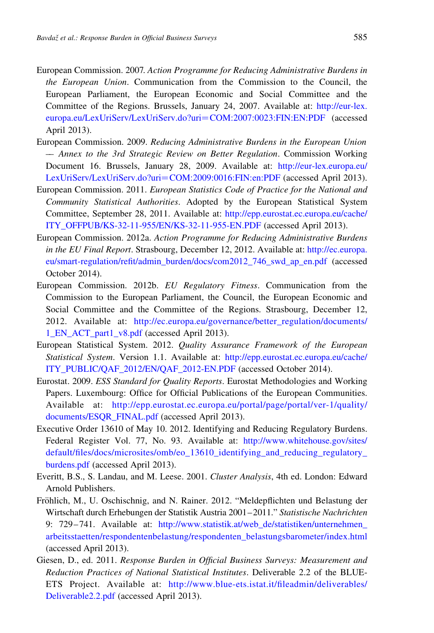- <span id="page-26-0"></span>European Commission. 2007. Action Programme for Reducing Administrative Burdens in the European Union. Communication from the Commission to the Council, the European Parliament, the European Economic and Social Committee and the Committee of the Regions. Brussels, January 24, 2007. Available at: [http://eur-lex.](http://eur-lex.europa.eu/LexUriServ/LexUriServ.do?uri=COM:2007:0023:FIN:EN:PDF) [europa.eu/LexUriServ/LexUriServ.do?uri](http://eur-lex.europa.eu/LexUriServ/LexUriServ.do?uri=COM:2007:0023:FIN:EN:PDF)=COM:2007:0023:FIN:EN:PDF (accessed April 2013).
- European Commission. 2009. Reducing Administrative Burdens in the European Union –– Annex to the 3rd Strategic Review on Better Regulation. Commission Working Document 16. Brussels, January 28, 2009. Available at: [http://eur-lex.europa.eu/](http://eur-lex.europa.eu/LexUriServ/LexUriServ.do?uri=COM:2009:0016:FIN:en:PDF) [LexUriServ/LexUriServ.do?uri](http://eur-lex.europa.eu/LexUriServ/LexUriServ.do?uri=COM:2009:0016:FIN:en:PDF)=COM:2009:0016:FIN:en:PDF (accessed April 2013).
- European Commission. 2011. European Statistics Code of Practice for the National and Community Statistical Authorities. Adopted by the European Statistical System Committee, September 28, 2011. Available at: [http://epp.eurostat.ec.europa.eu/cache/](http://epp.eurostat.ec.europa.eu/cache/ITY_OFFPUB/KS-32-11-955/EN/KS-32-11-955-EN.PDF) [ITY\\_OFFPUB/KS-32-11-955/EN/KS-32-11-955-EN.PDF](http://epp.eurostat.ec.europa.eu/cache/ITY_OFFPUB/KS-32-11-955/EN/KS-32-11-955-EN.PDF) (accessed April 2013).
- European Commission. 2012a. Action Programme for Reducing Administrative Burdens in the EU Final Report. Strasbourg, December 12, 2012. Available at: [http://ec.europa.](http://ec.europa.eu/smart-regulation/refit/admin_burden/docs/com2012_746_swd_ap_en.pdf) [eu/smart-regulation/refit/admin\\_burden/docs/com2012\\_746\\_swd\\_ap\\_en.pdf](http://ec.europa.eu/smart-regulation/refit/admin_burden/docs/com2012_746_swd_ap_en.pdf) (accessed October 2014).
- European Commission. 2012b. EU Regulatory Fitness. Communication from the Commission to the European Parliament, the Council, the European Economic and Social Committee and the Committee of the Regions. Strasbourg, December 12, 2012. Available at: [http://ec.europa.eu/governance/better\\_regulation/documents/](http://ec.europa.eu/governance/better_regulation/documents/1_EN_ACT_part1_v8.pdf) [1\\_EN\\_ACT\\_part1\\_v8.pdf](http://ec.europa.eu/governance/better_regulation/documents/1_EN_ACT_part1_v8.pdf) (accessed April 2013).
- European Statistical System. 2012. Quality Assurance Framework of the European Statistical System. Version 1.1. Available at: [http://epp.eurostat.ec.europa.eu/cache/](http://epp.eurostat.ec.europa.eu/cache/ITY_PUBLIC/QAF_2012/EN/QAF_2012-EN.PDF) [ITY\\_PUBLIC/QAF\\_2012/EN/QAF\\_2012-EN.PDF](http://epp.eurostat.ec.europa.eu/cache/ITY_PUBLIC/QAF_2012/EN/QAF_2012-EN.PDF) (accessed October 2014).
- Eurostat. 2009. ESS Standard for Quality Reports. Eurostat Methodologies and Working Papers. Luxembourg: Office for Official Publications of the European Communities. Available at: [http://epp.eurostat.ec.europa.eu/portal/page/portal/ver-1/quality/](http://epp.eurostat.ec.europa.eu/portal/page/portal/ver-1/quality/documents/ESQR_FINAL.pdf) [documents/ESQR\\_FINAL.pdf](http://epp.eurostat.ec.europa.eu/portal/page/portal/ver-1/quality/documents/ESQR_FINAL.pdf) (accessed April 2013).
- Executive Order 13610 of May 10. 2012. Identifying and Reducing Regulatory Burdens. Federal Register Vol. 77, No. 93. Available at: [http://www.whitehouse.gov/sites/](http://www.whitehouse.gov/sites/default/files/docs/microsites/omb/eo_13610_identifying_and_reducing_regulatory_burdens.pdf) [default/files/docs/microsites/omb/eo\\_13610\\_identifying\\_and\\_reducing\\_regulatory\\_](http://www.whitehouse.gov/sites/default/files/docs/microsites/omb/eo_13610_identifying_and_reducing_regulatory_burdens.pdf) [burdens.pdf](http://www.whitehouse.gov/sites/default/files/docs/microsites/omb/eo_13610_identifying_and_reducing_regulatory_burdens.pdf) (accessed April 2013).
- Everitt, B.S., S. Landau, and M. Leese. 2001. Cluster Analysis, 4th ed. London: Edward Arnold Publishers.
- Fröhlich, M., U. Oschischnig, and N. Rainer. 2012. "Meldepflichten und Belastung der Wirtschaft durch Erhebungen der Statistik Austria 2001–2011." Statistische Nachrichten 9: 729–741. Available at: [http://www.statistik.at/web\\_de/statistiken/unternehmen\\_](http://www.statistik.at/web_de/statistiken/unternehmen_arbeitsstaetten/respondentenbelastung/respondenten_belastungsbarometer/index.html) [arbeitsstaetten/respondentenbelastung/respondenten\\_belastungsbarometer/index.html](http://www.statistik.at/web_de/statistiken/unternehmen_arbeitsstaetten/respondentenbelastung/respondenten_belastungsbarometer/index.html) (accessed April 2013).
- Giesen, D., ed. 2011. Response Burden in Official Business Surveys: Measurement and Reduction Practices of National Statistical Institutes. Deliverable 2.2 of the BLUE-ETS Project. Available at: [http://www.blue-ets.istat.it/fileadmin/deliverables/](http://www.blue-ets.istat.it/fileadmin/deliverables/Deliverable2.2.pdf) [Deliverable2.2.pdf](http://www.blue-ets.istat.it/fileadmin/deliverables/Deliverable2.2.pdf) (accessed April 2013).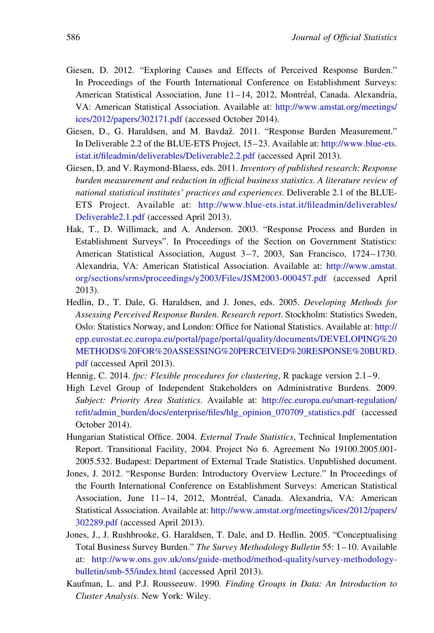- <span id="page-27-0"></span>Giesen, D. 2012. "Exploring Causes and Effects of Perceived Response Burden." In Proceedings of the Fourth International Conference on Establishment Surveys: American Statistical Association, June  $11-14$ , 2012, Montréal, Canada. Alexandria, VA: American Statistical Association. Available at: [http://www.amstat.org/meetings/](http://www.amstat.org/meetings/ices/2012/papers/302171.pdf) [ices/2012/papers/302171.pdf](http://www.amstat.org/meetings/ices/2012/papers/302171.pdf) (accessed October 2014).
- Giesen, D., G. Haraldsen, and M. Bavdaž. 2011. "Response Burden Measurement." In Deliverable 2.2 of the BLUE-ETS Project, 15–23. Available at: [http://www.blue-ets.](http://www.blue-ets.istat.it/fileadmin/deliverables/Deliverable2.2.pdf) [istat.it/fileadmin/deliverables/Deliverable2.2.pdf](http://www.blue-ets.istat.it/fileadmin/deliverables/Deliverable2.2.pdf) (accessed April 2013).
- Giesen, D. and V. Raymond-Blaess, eds. 2011. Inventory of published research: Response burden measurement and reduction in official business statistics. A literature review of national statistical institutes' practices and experiences. Deliverable 2.1 of the BLUE-ETS Project. Available at: [http://www.blue-ets.istat.it/fileadmin/deliverables/](http://www.blue-ets.istat.it/fileadmin/deliverables/Deliverable2.1.pdf) [Deliverable2.1.pdf](http://www.blue-ets.istat.it/fileadmin/deliverables/Deliverable2.1.pdf) (accessed April 2013).
- Hak, T., D. Willimack, and A. Anderson. 2003. "Response Process and Burden in Establishment Surveys". In Proceedings of the Section on Government Statistics: American Statistical Association, August 3–7, 2003, San Francisco, 1724–1730. Alexandria, VA: American Statistical Association. Available at: [http://www.amstat.](http://www.amstat.org/sections/srms/proceedings/y2003/Files/JSM2003-000457.pdf) [org/sections/srms/proceedings/y2003/Files/JSM2003-000457.pdf](http://www.amstat.org/sections/srms/proceedings/y2003/Files/JSM2003-000457.pdf) (accessed April 2013).
- Hedlin, D., T. Dale, G. Haraldsen, and J. Jones, eds. 2005. Developing Methods for Assessing Perceived Response Burden. Research report. Stockholm: Statistics Sweden, Oslo: Statistics Norway, and London: Office for National Statistics. Available at: [http://](http://epp.eurostat.ec.europa.eu/portal/page/portal/quality/documents/DEVELOPING%20METHODS%20FOR%20ASSESSING%20PERCEIVED%20RESPONSE%20BURD.pdf) [epp.eurostat.ec.europa.eu/portal/page/portal/quality/documents/DEVELOPING%20](http://epp.eurostat.ec.europa.eu/portal/page/portal/quality/documents/DEVELOPING%20METHODS%20FOR%20ASSESSING%20PERCEIVED%20RESPONSE%20BURD.pdf) [METHODS%20FOR%20ASSESSING%20PERCEIVED%20RESPONSE%20BURD.](http://epp.eurostat.ec.europa.eu/portal/page/portal/quality/documents/DEVELOPING%20METHODS%20FOR%20ASSESSING%20PERCEIVED%20RESPONSE%20BURD.pdf) [pdf](http://epp.eurostat.ec.europa.eu/portal/page/portal/quality/documents/DEVELOPING%20METHODS%20FOR%20ASSESSING%20PERCEIVED%20RESPONSE%20BURD.pdf) (accessed April 2013).
- Hennig, C. 2014. fpc: Flexible procedures for clustering, R package version 2.1–9.
- High Level Group of Independent Stakeholders on Administrative Burdens. 2009. Subject: Priority Area Statistics. Available at: [http://ec.europa.eu/smart-regulation/](http://ec.europa.eu/smart-regulation/refit/admin_burden/docs/enterprise/files/hlg_opinion_070709_statistics.pdf) [refit/admin\\_burden/docs/enterprise/files/hlg\\_opinion\\_070709\\_statistics.pdf](http://ec.europa.eu/smart-regulation/refit/admin_burden/docs/enterprise/files/hlg_opinion_070709_statistics.pdf) (accessed October 2014).
- Hungarian Statistical Office. 2004. External Trade Statistics, Technical Implementation Report. Transitional Facility, 2004. Project No 6. Agreement No 19100.2005.001- 2005.532. Budapest: Department of External Trade Statistics. Unpublished document.
- Jones, J. 2012. "Response Burden: Introductory Overview Lecture." In Proceedings of the Fourth International Conference on Establishment Surveys: American Statistical Association, June 11–14, 2012, Montréal, Canada, Alexandria, VA: American Statistical Association. Available at: [http://www.amstat.org/meetings/ices/2012/papers/](http://www.amstat.org/meetings/ices/2012/papers/302289.pdf) [302289.pdf](http://www.amstat.org/meetings/ices/2012/papers/302289.pdf) (accessed April 2013).
- Jones, J., J. Rushbrooke, G. Haraldsen, T. Dale, and D. Hedlin. 2005. "Conceptualising Total Business Survey Burden." The Survey Methodology Bulletin 55: 1–10. Available at: [http://www.ons.gov.uk/ons/guide-method/method-quality/survey-methodology](http://www.ons.gov.uk/ons/guide-method/method-quality/survey-methodology-bulletin/smb-55/index.html)[bulletin/smb-55/index.html](http://www.ons.gov.uk/ons/guide-method/method-quality/survey-methodology-bulletin/smb-55/index.html) (accessed April 2013).
- Kaufman, L. and P.J. Rousseeuw. 1990. Finding Groups in Data: An Introduction to Cluster Analysis. New York: Wiley.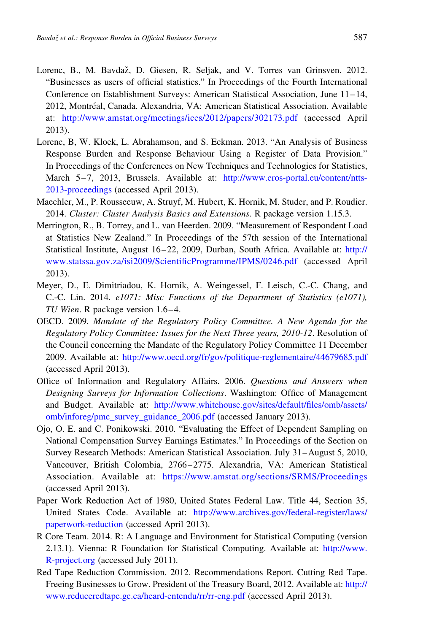- <span id="page-28-0"></span>Lorenc, B., M. Bavdaž, D. Giesen, R. Seljak, and V. Torres van Grinsven. 2012. "Businesses as users of official statistics." In Proceedings of the Fourth International Conference on Establishment Surveys: American Statistical Association, June 11–14, 2012, Montréal, Canada. Alexandria, VA: American Statistical Association. Available at: <http://www.amstat.org/meetings/ices/2012/papers/302173.pdf> (accessed April 2013).
- Lorenc, B, W. Kloek, L. Abrahamson, and S. Eckman. 2013. "An Analysis of Business Response Burden and Response Behaviour Using a Register of Data Provision." In Proceedings of the Conferences on New Techniques and Technologies for Statistics, March 5–7, 2013, Brussels. Available at: [http://www.cros-portal.eu/content/ntts-](http://www.cros-portal.eu/content/ntts-2013-proceedings)[2013-proceedings](http://www.cros-portal.eu/content/ntts-2013-proceedings) (accessed April 2013).
- Maechler, M., P. Rousseeuw, A. Struyf, M. Hubert, K. Hornik, M. Studer, and P. Roudier. 2014. Cluster: Cluster Analysis Basics and Extensions. R package version 1.15.3.
- Merrington, R., B. Torrey, and L. van Heerden. 2009. "Measurement of Respondent Load at Statistics New Zealand." In Proceedings of the 57th session of the International Statistical Institute, August 16–22, 2009, Durban, South Africa. Available at: [http://](http://www.statssa.gov.za/isi2009/ScientificProgramme/IPMS/0246.pdf) [www.statssa.gov.za/isi2009/ScientificProgramme/IPMS/0246.pdf](http://www.statssa.gov.za/isi2009/ScientificProgramme/IPMS/0246.pdf) (accessed April 2013).
- Meyer, D., E. Dimitriadou, K. Hornik, A. Weingessel, F. Leisch, C.-C. Chang, and C.-C. Lin. 2014. e1071: Misc Functions of the Department of Statistics (e1071), TU Wien. R package version 1.6–4.
- OECD. 2009. Mandate of the Regulatory Policy Committee. A New Agenda for the Regulatory Policy Committee: Issues for the Next Three years, 2010-12. Resolution of the Council concerning the Mandate of the Regulatory Policy Committee 11 December 2009. Available at: <http://www.oecd.org/fr/gov/politique-reglementaire/44679685.pdf> (accessed April 2013).
- Office of Information and Regulatory Affairs. 2006. Questions and Answers when Designing Surveys for Information Collections. Washington: Office of Management and Budget. Available at: [http://www.whitehouse.gov/sites/default/files/omb/assets/](http://www.whitehouse.gov/sites/default/files/omb/assets/omb/inforeg/pmc_survey_guidance_2006.pdf) [omb/inforeg/pmc\\_survey\\_guidance\\_2006.pdf](http://www.whitehouse.gov/sites/default/files/omb/assets/omb/inforeg/pmc_survey_guidance_2006.pdf) (accessed January 2013).
- Ojo, O. E. and C. Ponikowski. 2010. "Evaluating the Effect of Dependent Sampling on National Compensation Survey Earnings Estimates." In Proceedings of the Section on Survey Research Methods: American Statistical Association. July 31–August 5, 2010, Vancouver, British Colombia, 2766–2775. Alexandria, VA: American Statistical Association. Available at: <https://www.amstat.org/sections/SRMS/Proceedings> (accessed April 2013).
- Paper Work Reduction Act of 1980, United States Federal Law. Title 44, Section 35, United States Code. Available at: [http://www.archives.gov/federal-register/laws/](http://www.archives.gov/federal-register/laws/paperwork-reduction) [paperwork-reduction](http://www.archives.gov/federal-register/laws/paperwork-reduction) (accessed April 2013).
- R Core Team. 2014. R: A Language and Environment for Statistical Computing (version 2.13.1). Vienna: R Foundation for Statistical Computing. Available at: [http://www.](http://www.R-project.org) [R-project.org](http://www.R-project.org) (accessed July 2011).
- Red Tape Reduction Commission. 2012. Recommendations Report. Cutting Red Tape. Freeing Businesses to Grow. President of the Treasury Board, 2012. Available at: [http://](http://www.reduceredtape.gc.ca/heard-entendu/rr/rr-eng.pdf) [www.reduceredtape.gc.ca/heard-entendu/rr/rr-eng.pdf](http://www.reduceredtape.gc.ca/heard-entendu/rr/rr-eng.pdf) (accessed April 2013).